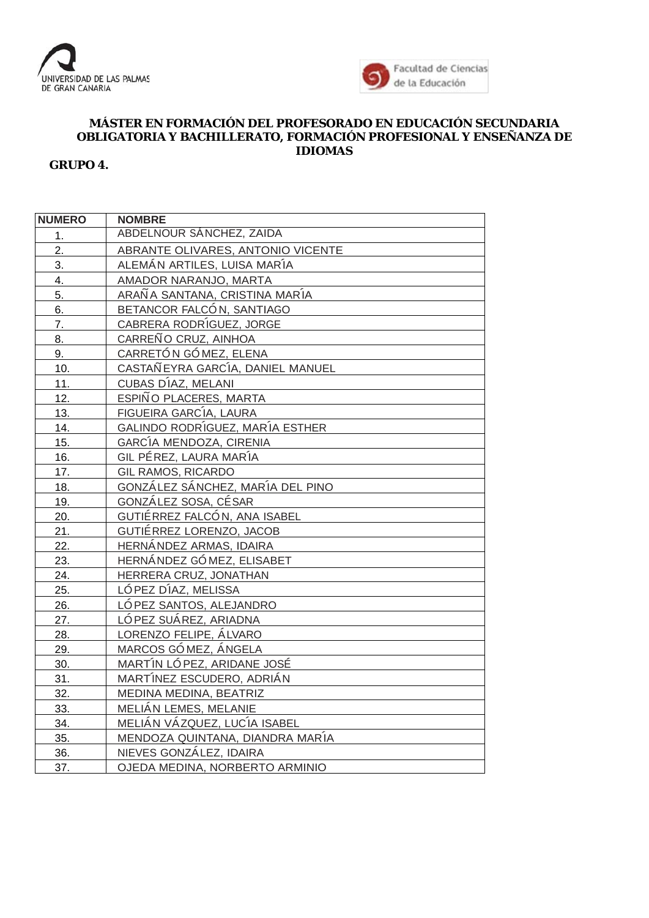



## **MÁSTER EN FORMACIÓN DEL PROFESORADO EN EDUCACIÓN SECUNDARIA OBLIGATORIA Y BACHILLERATO, FORMACIÓN PROFESIONAL Y ENSEÑANZA DE IDIOMAS**

## **GRUPO 4.**

| <b>NUMERO</b>    | <b>NOMBRE</b>                     |
|------------------|-----------------------------------|
| 1.               | ABDELNOUR SÁNCHEZ, ZAIDA          |
| 2.               | ABRANTE OLIVARES, ANTONIO VICENTE |
| 3.               | ALEMÁN ARTILES, LUISA MARÍA       |
| $\overline{4}$ . | AMADOR NARANJO, MARTA             |
| 5.               | ARAÑA SANTANA, CRISTINA MARÍA     |
| 6.               | BETANCOR FALCÓN, SANTIAGO         |
| 7.               | CABRERA RODRÍGUEZ, JORGE          |
| 8.               | CARREÑO CRUZ, AINHOA              |
| 9.               | CARRETÓN GÓMEZ, ELENA             |
| 10.              | CASTAÑ EYRA GARCÍA, DANIEL MANUEL |
| 11.              | CUBAS DÍAZ, MELANI                |
| 12.              | ESPIÑO PLACERES, MARTA            |
| 13.              | FIGUEIRA GARCÍA, LAURA            |
| 14.              | GALINDO RODRÍGUEZ, MARÍA ESTHER   |
| 15.              | GARCÍA MENDOZA, CIRENIA           |
| 16.              | GIL PÉREZ, LAURA MARÍA            |
| 17.              | GIL RAMOS, RICARDO                |
| 18.              | GONZÁLEZ SÁNCHEZ, MARÍA DEL PINO  |
| 19.              | GONZÁLEZ SOSA, CÉSAR              |
| 20.              | GUTIÉRREZ FALCÓN, ANA ISABEL      |
| 21.              | GUTIÉRREZ LORENZO, JACOB          |
| 22.              | HERNÁNDEZ ARMAS, IDAIRA           |
| 23.              | HERNÁNDEZ GÓMEZ, ELISABET         |
| 24.              | HERRERA CRUZ, JONATHAN            |
| 25.              | LÓ PEZ DÍAZ, MELISSA              |
| 26.              | LÓ PEZ SANTOS, ALEJANDRO          |
| 27.              | LÓ PEZ SUÁREZ, ARIADNA            |
| 28.              | LORENZO FELIPE, ÁLVARO            |
| 29.              | MARCOS GÓMEZ, ÁNGELA              |
| 30.              | MARTÍN LÓ PEZ, ARIDANE JOSÉ       |
| 31.              | MARTÍNEZ ESCUDERO, ADRIÁN         |
| 32.              | MEDINA MEDINA, BEATRIZ            |
| 33.              | MELIÁN LEMES, MELANIE             |
| 34.              | MELIÁN VÁZQUEZ, LUCÍA ISABEL      |
| 35.              | MENDOZA QUINTANA, DIANDRA MARÍA   |
| 36.              | NIEVES GONZÁLEZ, IDAIRA           |
| 37.              | OJEDA MEDINA, NORBERTO ARMINIO    |